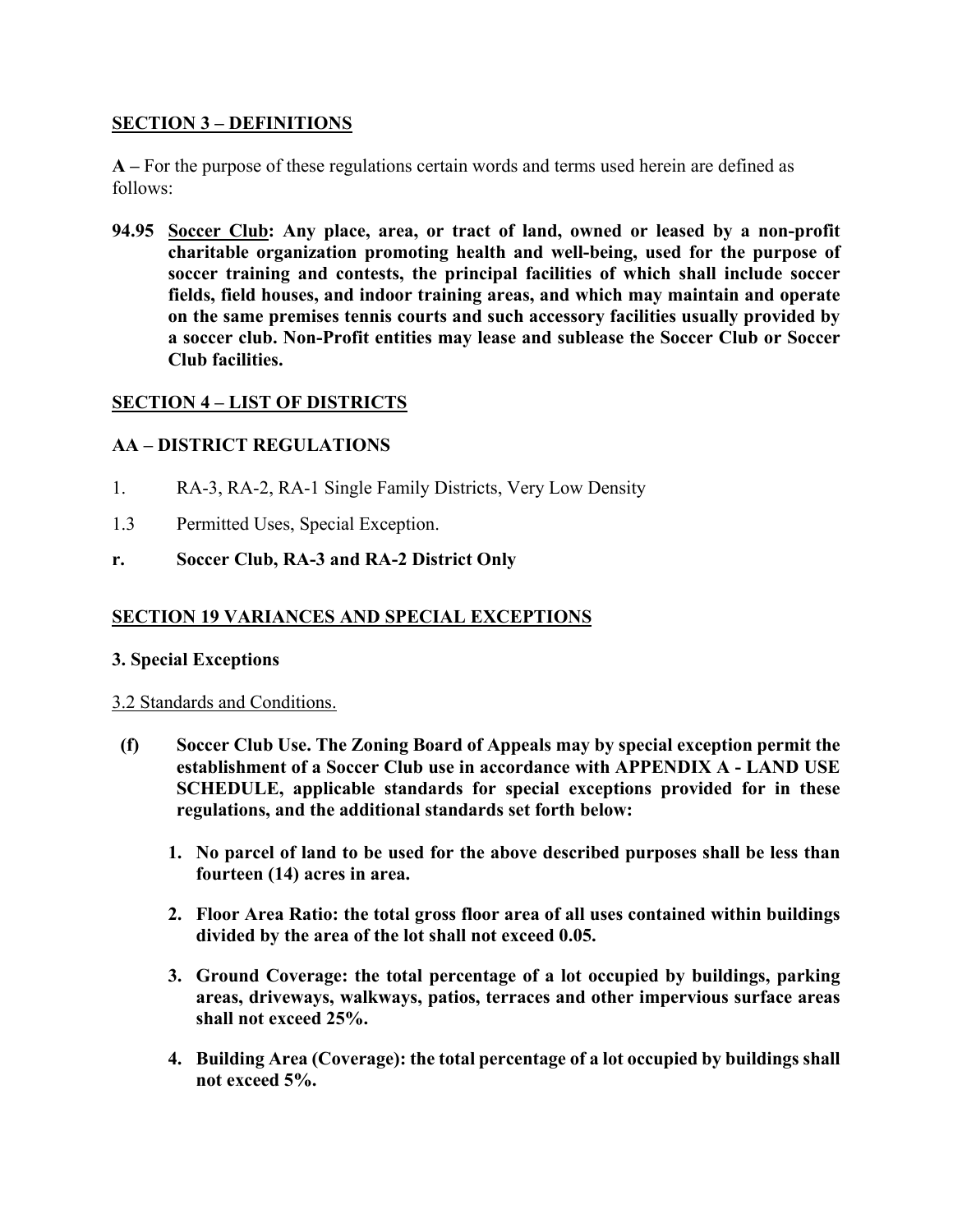## **SECTION 3 – DEFINITIONS**

**A –** For the purpose of these regulations certain words and terms used herein are defined as follows:

**94.95 Soccer Club: Any place, area, or tract of land, owned or leased by a non-profit charitable organization promoting health and well-being, used for the purpose of soccer training and contests, the principal facilities of which shall include soccer fields, field houses, and indoor training areas, and which may maintain and operate on the same premises tennis courts and such accessory facilities usually provided by a soccer club. Non-Profit entities may lease and sublease the Soccer Club or Soccer Club facilities.**

# **SECTION 4 – LIST OF DISTRICTS**

# **AA – DISTRICT REGULATIONS**

- 1. RA-3, RA-2, RA-1 Single Family Districts, Very Low Density
- 1.3 Permitted Uses, Special Exception.
- **r. Soccer Club, RA-3 and RA-2 District Only**

## **SECTION 19 VARIANCES AND SPECIAL EXCEPTIONS**

## **3. Special Exceptions**

## 3.2 Standards and Conditions.

- **(f) Soccer Club Use. The Zoning Board of Appeals may by special exception permit the establishment of a Soccer Club use in accordance with APPENDIX A - LAND USE SCHEDULE, applicable standards for special exceptions provided for in these regulations, and the additional standards set forth below:**
	- **1. No parcel of land to be used for the above described purposes shall be less than fourteen (14) acres in area.**
	- **2. Floor Area Ratio: the total gross floor area of all uses contained within buildings divided by the area of the lot shall not exceed 0.05.**
	- **3. Ground Coverage: the total percentage of a lot occupied by buildings, parking areas, driveways, walkways, patios, terraces and other impervious surface areas shall not exceed 25%.**
	- **4. Building Area (Coverage): the total percentage of a lot occupied by buildings shall not exceed 5%.**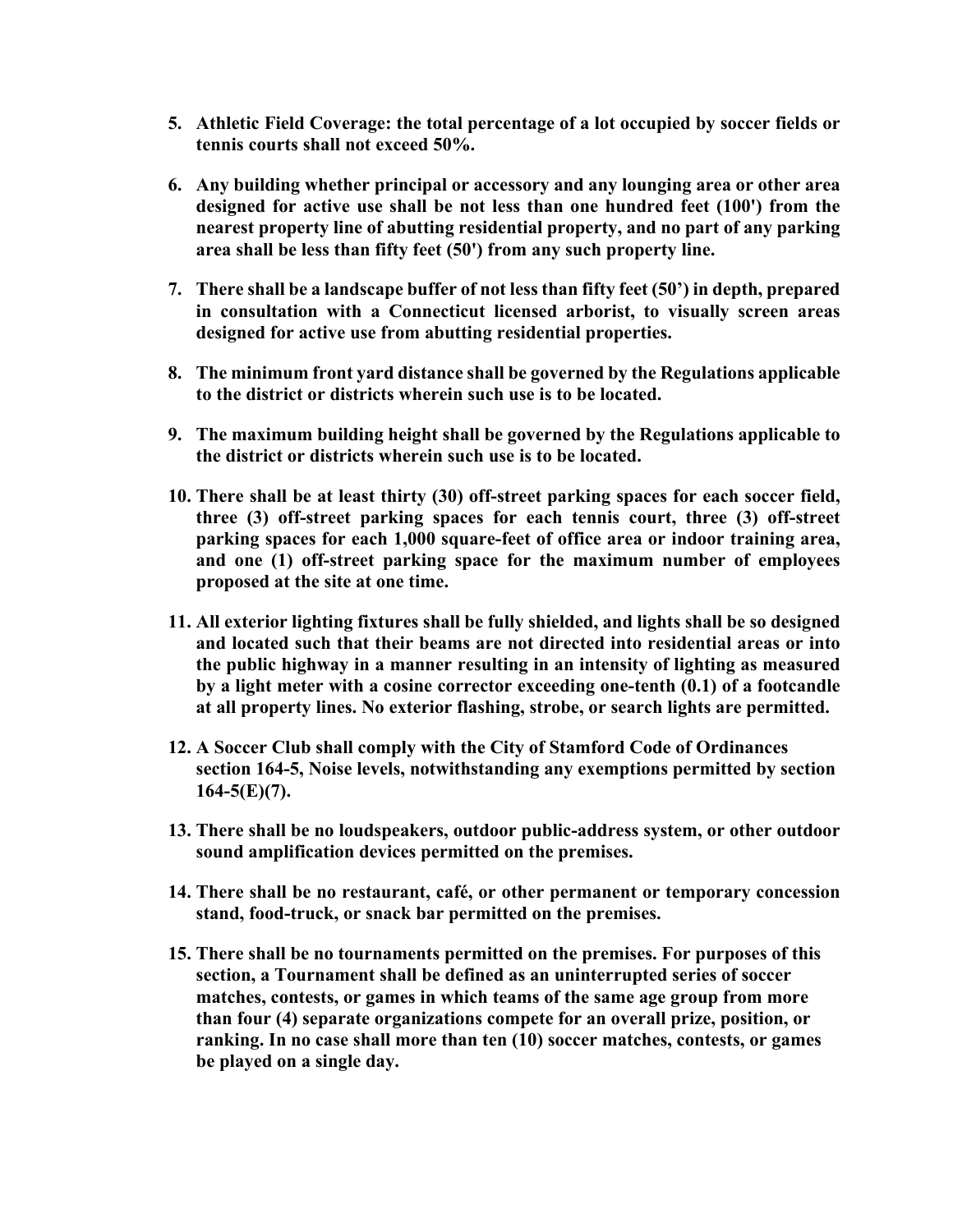- **5. Athletic Field Coverage: the total percentage of a lot occupied by soccer fields or tennis courts shall not exceed 50%.**
- **6. Any building whether principal or accessory and any lounging area or other area designed for active use shall be not less than one hundred feet (100') from the nearest property line of abutting residential property, and no part of any parking area shall be less than fifty feet (50') from any such property line.**
- **7. There shall be a landscape buffer of not less than fifty feet (50') in depth, prepared in consultation with a Connecticut licensed arborist, to visually screen areas designed for active use from abutting residential properties.**
- **8. The minimum front yard distance shall be governed by the Regulations applicable to the district or districts wherein such use is to be located.**
- **9. The maximum building height shall be governed by the Regulations applicable to the district or districts wherein such use is to be located.**
- **10. There shall be at least thirty (30) off-street parking spaces for each soccer field, three (3) off-street parking spaces for each tennis court, three (3) off-street parking spaces for each 1,000 square-feet of office area or indoor training area, and one (1) off-street parking space for the maximum number of employees proposed at the site at one time.**
- **11. All exterior lighting fixtures shall be fully shielded, and lights shall be so designed and located such that their beams are not directed into residential areas or into the public highway in a manner resulting in an intensity of lighting as measured by a light meter with a cosine corrector exceeding one-tenth (0.1) of a footcandle at all property lines. No exterior flashing, strobe, or search lights are permitted.**
- **12. A Soccer Club shall comply with the City of Stamford Code of Ordinances section 164-5, Noise levels, notwithstanding any exemptions permitted by section 164-5(E)(7).**
- **13. There shall be no loudspeakers, outdoor public-address system, or other outdoor sound amplification devices permitted on the premises.**
- **14. There shall be no restaurant, café, or other permanent or temporary concession stand, food-truck, or snack bar permitted on the premises.**
- **15. There shall be no tournaments permitted on the premises. For purposes of this section, a Tournament shall be defined as an uninterrupted series of soccer matches, contests, or games in which teams of the same age group from more than four (4) separate organizations compete for an overall prize, position, or ranking. In no case shall more than ten (10) soccer matches, contests, or games be played on a single day.**